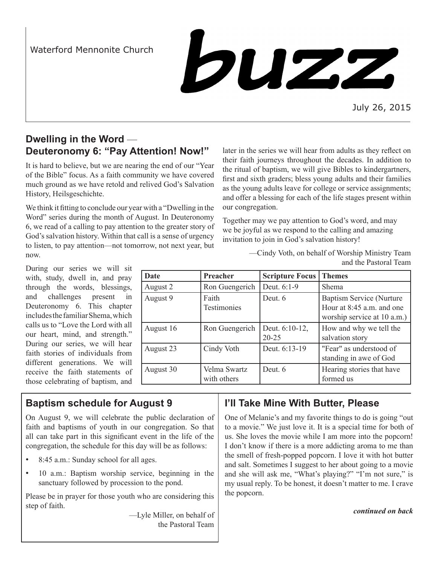Waterford Mennonite Church



July 26, 2015

# **Dwelling in the Word** — **Deuteronomy 6: "Pay Attention! Now!"**

It is hard to believe, but we are nearing the end of our "Year of the Bible" focus. As a faith community we have covered much ground as we have retold and relived God's Salvation History, Heilsgeschichte.

We think it fitting to conclude our year with a "Dwelling in the Word" series during the month of August. In Deuteronomy 6, we read of a calling to pay attention to the greater story of God's salvation history. Within that call is a sense of urgency to listen, to pay attention—not tomorrow, not next year, but now.

During our series we will sit with, study, dwell in, and pray through the words, blessings, and challenges present in Deuteronomy 6. This chapter includes the familiar Shema, which calls us to "Love the Lord with all our heart, mind, and strength." During our series, we will hear faith stories of individuals from different generations. We will receive the faith statements of those celebrating of baptism, and later in the series we will hear from adults as they reflect on their faith journeys throughout the decades. In addition to the ritual of baptism, we will give Bibles to kindergartners, first and sixth graders; bless young adults and their families as the young adults leave for college or service assignments; and offer a blessing for each of the life stages present within our congregation.

Together may we pay attention to God's word, and may we be joyful as we respond to the calling and amazing invitation to join in God's salvation history!

> —Cindy Voth, on behalf of Worship Ministry Team and the Pastoral Team

| Date      | Preacher                    | <b>Scripture Focus</b>      | <b>Themes</b>                                                                               |
|-----------|-----------------------------|-----------------------------|---------------------------------------------------------------------------------------------|
| August 2  | Ron Guengerich              | Deut. 6:1-9                 | <b>Shema</b>                                                                                |
| August 9  | Faith<br>Testimonies        | Deut. 6                     | <b>Baptism Service (Nurture</b><br>Hour at 8:45 a.m. and one<br>worship service at 10 a.m.) |
| August 16 | Ron Guengerich              | Deut. 6:10-12,<br>$20 - 25$ | How and why we tell the<br>salvation story                                                  |
| August 23 | Cindy Voth                  | Deut. 6:13-19               | "Fear" as understood of<br>standing in awe of God                                           |
| August 30 | Velma Swartz<br>with others | Deut. 6                     | Hearing stories that have<br>formed us                                                      |

# **Baptism schedule for August 9**

On August 9, we will celebrate the public declaration of faith and baptisms of youth in our congregation. So that all can take part in this significant event in the life of the congregation, the schedule for this day will be as follows:

- 8:45 a.m.: Sunday school for all ages.
- 10 a.m.: Baptism worship service, beginning in the sanctuary followed by procession to the pond.

Please be in prayer for those youth who are considering this step of faith.

> —Lyle Miller, on behalf of the Pastoral Team

## **I'll Take Mine With Butter, Please**

One of Melanie's and my favorite things to do is going "out to a movie." We just love it. It is a special time for both of us. She loves the movie while I am more into the popcorn! I don't know if there is a more addicting aroma to me than the smell of fresh-popped popcorn. I love it with hot butter and salt. Sometimes I suggest to her about going to a movie and she will ask me, "What's playing?" "I'm not sure," is my usual reply. To be honest, it doesn't matter to me. I crave the popcorn.

*continued on back*